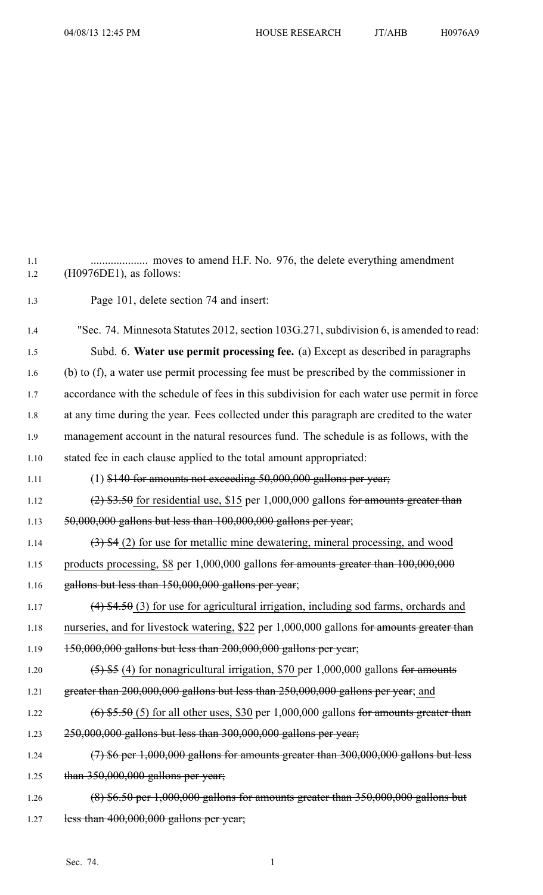1.1 .................... moves to amend H.F. No. 976, the delete everything amendment 1.2 (H0976DE1), as follows: 1.3 Page 101, delete section 74 and insert: 1.4 "Sec. 74. Minnesota Statutes 2012, section 103G.271, subdivision 6, is amended to read: 1.5 Subd. 6. **Water use permit processing fee.** (a) Except as described in paragraphs 1.6 (b) to (f), <sup>a</sup> water use permit processing fee must be prescribed by the commissioner in 1.7 accordance with the schedule of fees in this subdivision for each water use permit in force 1.8 at any time during the year. Fees collected under this paragraph are credited to the water 1.9 managemen<sup>t</sup> account in the natural resources fund. The schedule is as follows, with the 1.10 stated fee in each clause applied to the total amount appropriated: 1.11 (1)  $$140$  for amounts not exceeding  $50,000,000$  gallons per year; 1.12 (2)  $$3.50$  for residential use, \$15 per 1,000,000 gallons for amounts greater than 1.13 50,000,000 gallons but less than 100,000,000 gallons per year; 1.14  $(3)$  \$4 (2) for use for metallic mine dewatering, mineral processing, and wood 1.15 products processing, \$8 per 1,000,000 gallons for amounts greater than 100,000,000 1.16 gallons but less than 150,000,000 gallons per year; 1.17 (4) \$4.50 (3) for use for agricultural irrigation, including sod farms, orchards and 1.18 nurseries, and for livestock watering, \$22 per 1,000,000 gallons for amounts greater than 1.19 150,000,000 gallons but less than 200,000,000 gallons per year; 1.20  $(5)$  \$5 (4) for nonagricultural irrigation, \$70 per 1,000,000 gallons for amounts 1.21 greater than 200,000,000 gallons but less than 250,000,000 gallons per year; and 1.22  $(6)$  \$5.50 (5) for all other uses, \$30 per 1,000,000 gallons for amounts greater than 1.23 250,000,000 gallons but less than 300,000,000 gallons per year; 1.24 (7) \$6 per 1,000,000 gallons for amounts greater than 300,000,000 gallons but less 1.25 than 350,000,000 gallons per year; 1.26 (8) \$6.50 per 1,000,000 gallons for amounts greater than 350,000,000 gallons but 1.27 less than  $400,000,000$  gallons per year;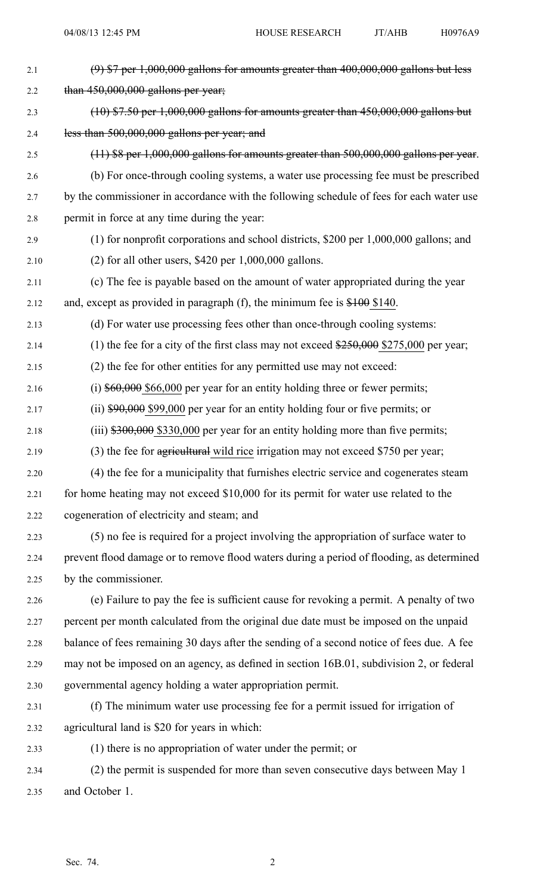| 2.1  | $(9)$ \$7 per 1,000,000 gallons for amounts greater than 400,000,000 gallons but less          |
|------|------------------------------------------------------------------------------------------------|
| 2.2  | than $450,000,000$ gallons per year;                                                           |
| 2.3  | $(10)$ \$7.50 per 1,000,000 gallons for amounts greater than 450,000,000 gallons but           |
| 2.4  | less than 500,000,000 gallons per year; and                                                    |
| 2.5  | $(11)$ \$8 per 1,000,000 gallons for amounts greater than 500,000,000 gallons per year.        |
| 2.6  | (b) For once-through cooling systems, a water use processing fee must be prescribed            |
| 2.7  | by the commissioner in accordance with the following schedule of fees for each water use       |
| 2.8  | permit in force at any time during the year:                                                   |
| 2.9  | $(1)$ for nonprofit corporations and school districts, \$200 per 1,000,000 gallons; and        |
| 2.10 | $(2)$ for all other users, \$420 per 1,000,000 gallons.                                        |
| 2.11 | (c) The fee is payable based on the amount of water appropriated during the year               |
| 2.12 | and, except as provided in paragraph (f), the minimum fee is $$100$ \$140.                     |
| 2.13 | (d) For water use processing fees other than once-through cooling systems:                     |
| 2.14 | (1) the fee for a city of the first class may not exceed $\frac{$250,000}{$275,000}$ per year; |
| 2.15 | (2) the fee for other entities for any permitted use may not exceed:                           |
| 2.16 | (i) $$60,000$ \$66,000 per year for an entity holding three or fewer permits;                  |
| 2.17 | (ii) $$90,000$ \$99,000 per year for an entity holding four or five permits; or                |
| 2.18 | $(iii)$ \$300,000 \$330,000 per year for an entity holding more than five permits;             |
| 2.19 | (3) the fee for agricultural wild rice irrigation may not exceed \$750 per year;               |
| 2.20 | (4) the fee for a municipality that furnishes electric service and cogenerates steam           |
| 2.21 | for home heating may not exceed \$10,000 for its permit for water use related to the           |
| 2.22 | cogeneration of electricity and steam; and                                                     |
| 2.23 | (5) no fee is required for a project involving the appropriation of surface water to           |
| 2.24 | prevent flood damage or to remove flood waters during a period of flooding, as determined      |
| 2.25 | by the commissioner.                                                                           |
| 2.26 | (e) Failure to pay the fee is sufficient cause for revoking a permit. A penalty of two         |
| 2.27 | percent per month calculated from the original due date must be imposed on the unpaid          |
| 2.28 | balance of fees remaining 30 days after the sending of a second notice of fees due. A fee      |
| 2.29 | may not be imposed on an agency, as defined in section 16B.01, subdivision 2, or federal       |
| 2.30 | governmental agency holding a water appropriation permit.                                      |
| 2.31 | (f) The minimum water use processing fee for a permit issued for irrigation of                 |
| 2.32 | agricultural land is \$20 for years in which:                                                  |
| 2.33 | (1) there is no appropriation of water under the permit; or                                    |
| 2.34 | (2) the permit is suspended for more than seven consecutive days between May 1                 |
| 2.35 | and October 1.                                                                                 |
|      |                                                                                                |